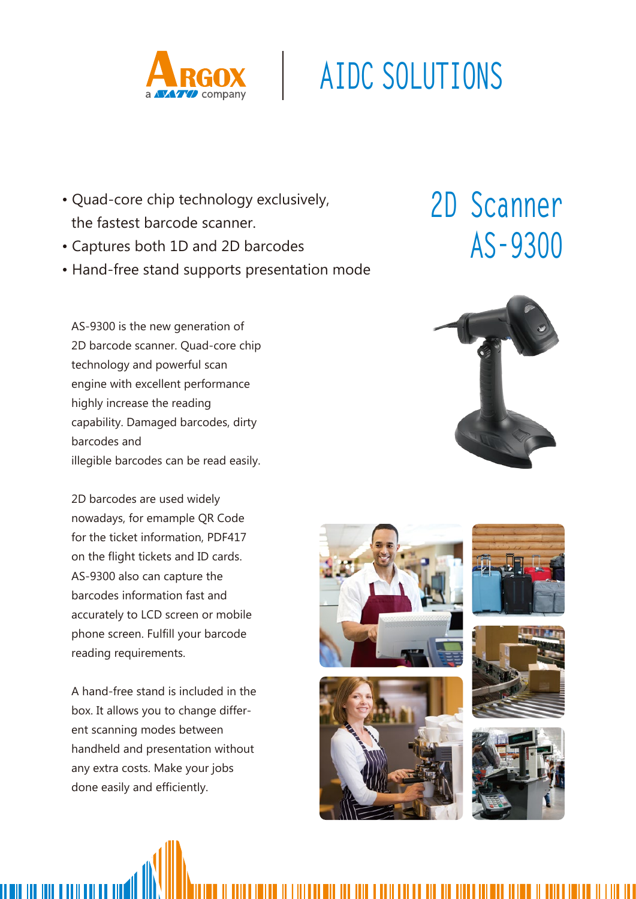

## **AIDC SOLUTIONS**

- Quad-core chip technology exclusively, the fastest barcode scanner.
- Captures both 1D and 2D barcodes
- Hand-free stand supports presentation mode

AS-9300 is the new generation of 2D barcode scanner. Quad-core chip technology and powerful scan engine with excellent performance highly increase the reading capability. Damaged barcodes, dirty barcodes and illegible barcodes can be read easily.

2D barcodes are used widely nowadays, for emample QR Code for the ticket information, PDF417 on the flight tickets and ID cards. AS-9300 also can capture the barcodes information fast and accurately to LCD screen or mobile phone screen. Fulfill your barcode reading requirements.

A hand-free stand is included in the box. It allows you to change different scanning modes between handheld and presentation without any extra costs. Make your jobs done easily and efficiently.

III III IIII I IIII I

## **2D Scanner AS-9300**